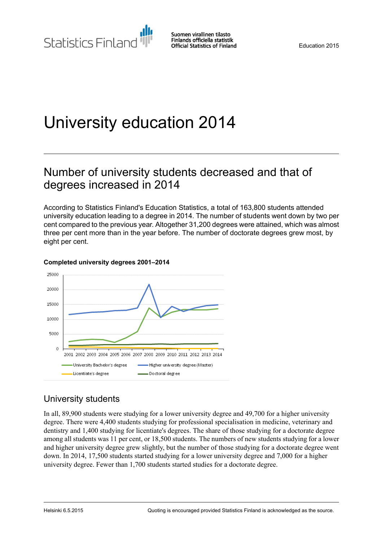# University education 2014

# Number of university students decreased and that of degrees increased in 2014

According to Statistics Finland's Education Statistics, a total of 163,800 students attended university education leading to a degree in 2014. The number of students went down by two per cent compared to the previous year. Altogether 31,200 degrees were attained, which was almost three per cent more than in the year before. The number of doctorate degrees grew most, by eight per cent.



#### **Completed university degrees 2001–2014**

# University students

In all, 89,900 students were studying for a lower university degree and 49,700 for a higher university degree. There were 4,400 students studying for professional specialisation in medicine, veterinary and dentistry and 1,400 studying for licentiate's degrees. The share of those studying for a doctorate degree among all students was 11 per cent, or 18,500 students. The numbers of new students studying for a lower and higher university degree grew slightly, but the number of those studying for a doctorate degree went down. In 2014, 17,500 students started studying for a lower university degree and 7,000 for a higher university degree. Fewer than 1,700 students started studies for a doctorate degree.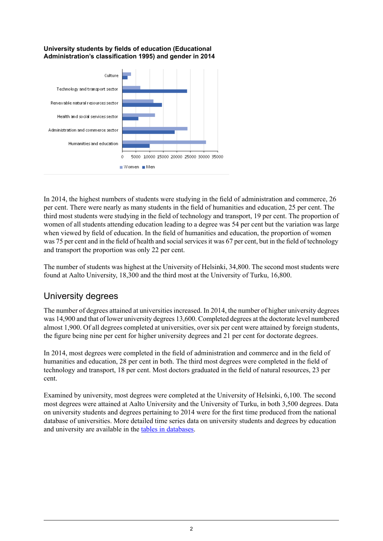#### **University students by fields of education (Educational Administration's classification 1995) and gender in 2014**



In 2014, the highest numbers of students were studying in the field of administration and commerce, 26 per cent. There were nearly as many students in the field of humanities and education, 25 per cent. The third most students were studying in the field of technology and transport, 19 per cent. The proportion of women of all students attending education leading to a degree was 54 per cent but the variation was large when viewed by field of education. In the field of humanities and education, the proportion of women was 75 per cent and in the field of health and social services it was 67 per cent, but in the field of technology and transport the proportion was only 22 per cent.

The number of students was highest at the University of Helsinki, 34,800. The second most students were found at Aalto University, 18,300 and the third most at the University of Turku, 16,800.

# University degrees

The number of degrees attained at universities increased. In 2014, the number of higher university degrees was 14,900 and that of lower university degrees 13,600. Completed degrees at the doctorate level numbered almost 1,900. Of all degrees completed at universities, over six per cent were attained by foreign students, the figure being nine per cent for higher university degrees and 21 per cent for doctorate degrees.

In 2014, most degrees were completed in the field of administration and commerce and in the field of humanities and education, 28 per cent in both. The third most degrees were completed in the field of technology and transport, 18 per cent. Most doctors graduated in the field of natural resources, 23 per cent.

Examined by university, most degrees were completed at the University of Helsinki, 6,100. The second most degrees were attained at Aalto University and the University of Turku, in both 3,500 degrees. Data on university students and degrees pertaining to 2014 were for the first time produced from the national database of universities. More detailed time series data on university students and degrees by education and university are available in the tables in [databases](http://193.166.171.75/database/StatFin/kou/yop/yop_en.asp).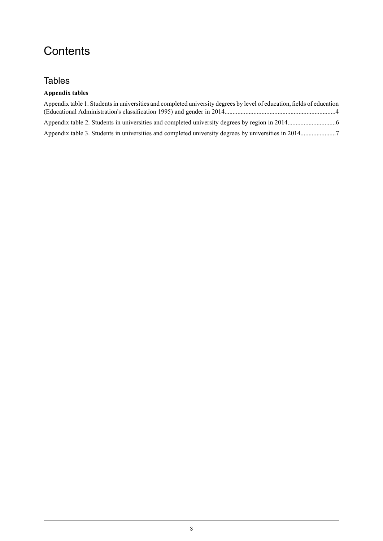# **Contents**

### **Tables**

### **Appendix tables**

| Appendix table 1. Students in universities and completed university degrees by level of education, fields of education |  |
|------------------------------------------------------------------------------------------------------------------------|--|
|                                                                                                                        |  |
|                                                                                                                        |  |
|                                                                                                                        |  |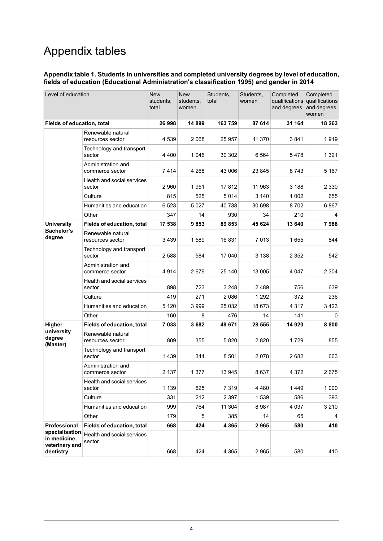# Appendix tables

#### <span id="page-3-0"></span>**Appendix table 1. Students in universities and completed university degrees by level of education, fields of education (Educational Administration's classification 1995) and gender in 2014**

| Level of education                                            |                                             | <b>New</b><br>students,<br>total | <b>New</b><br>students,<br>women | Students,<br>total | Students,<br>women | Completed<br>and degrees | Completed<br>qualifications qualifications<br>and degrees,<br>women |
|---------------------------------------------------------------|---------------------------------------------|----------------------------------|----------------------------------|--------------------|--------------------|--------------------------|---------------------------------------------------------------------|
| Fields of education, total                                    |                                             | 26998                            | 14 899                           | 163 759            | 87 614             | 31 164                   | 18 263                                                              |
|                                                               | Renewable natural<br>resources sector       | 4 5 3 9                          | 2068                             | 25 957             | 11 370             | 3841                     | 1919                                                                |
|                                                               | Technology and transport<br>sector          | 4 4 0 0                          | 1 0 4 6                          | 30 302             | 6 5 6 4            | 5478                     | 1 321                                                               |
|                                                               | Administration and<br>commerce sector       | 7414                             | 4 2 6 8                          | 43 006             | 23 845             | 8743                     | 5 1 6 7                                                             |
|                                                               | <b>Health and social services</b><br>sector | 2960                             | 1951                             | 17812              | 11 963             | 3 188                    | 2 330                                                               |
|                                                               | Culture                                     | 815                              | 525                              | 5014               | 3 1 4 0            | 1 0 0 2                  | 655                                                                 |
|                                                               | Humanities and education                    | 6523                             | 5 0 2 7                          | 40 738             | 30 698             | 8702                     | 6867                                                                |
|                                                               | Other                                       | 347                              | 14                               | 930                | 34                 | 210                      | 4                                                                   |
| <b>University</b>                                             | <b>Fields of education, total</b>           | 17 538                           | 9853                             | 89 853             | 45 624             | 13 640                   | 7988                                                                |
| <b>Bachelor's</b><br>degree                                   | Renewable natural<br>resources sector       | 3439                             | 1589                             | 16 831             | 7 0 1 3            | 1655                     | 844                                                                 |
|                                                               | Technology and transport<br>sector          | 2588                             | 584                              | 17 040             | 3 1 3 8            | 2 3 5 2                  | 542                                                                 |
|                                                               | Administration and<br>commerce sector       | 4914                             | 2679                             | 25 140             | 13 005             | 4 0 4 7                  | 2 3 0 4                                                             |
|                                                               | Health and social services<br>sector        | 898                              | 723                              | 3 2 4 8            | 2 4 8 9            | 756                      | 639                                                                 |
|                                                               | Culture                                     | 419                              | 271                              | 2086               | 1 2 9 2            | 372                      | 236                                                                 |
|                                                               | Humanities and education                    | 5 1 2 0                          | 3999                             | 25 032             | 18 673             | 4 3 1 7                  | 3423                                                                |
|                                                               | Other                                       | 160                              | 8                                | 476                | 14                 | 141                      | 0                                                                   |
| Higher                                                        | <b>Fields of education, total</b>           | 7033                             | 3682                             | 49 671             | 28 555             | 14 920                   | 8800                                                                |
| university<br>degree<br>(Master)                              | Renewable natural<br>resources sector       | 809                              | 355                              | 5820               | 2820               | 1729                     | 855                                                                 |
|                                                               | Technology and transport<br>sector          | 1439                             | 344                              | 8 501              | 2078               | 2682                     | 663                                                                 |
|                                                               | Administration and<br>commerce sector       | 2 1 3 7                          | 1 3 7 7                          | 13 945             | 8637               | 4 3 7 2                  | 2675                                                                |
|                                                               | Health and social services<br>sector        | 1 1 3 9                          | 625                              | 7 3 1 9            | 4 4 8 0            | 1449                     | 1 0 0 0                                                             |
|                                                               | Culture                                     | 331                              | 212                              | 2 3 9 7            | 1 5 3 9            | 586                      | 393                                                                 |
|                                                               | Humanities and education                    | 999                              | 764                              | 11 304             | 8987               | 4 0 3 7                  | 3 2 1 0                                                             |
|                                                               | Other                                       | 179                              | 5                                | 385                | 14                 | 65                       | 4                                                                   |
| Professional                                                  | <b>Fields of education, total</b>           | 668                              | 424                              | 4 3 6 5            | 2965               | 580                      | 410                                                                 |
| specialisation<br>in medicine,<br>veterinary and<br>dentistry | Health and social services<br>sector        | 668                              | 424                              | 4 3 6 5            | 2 9 6 5            | 580                      | 410                                                                 |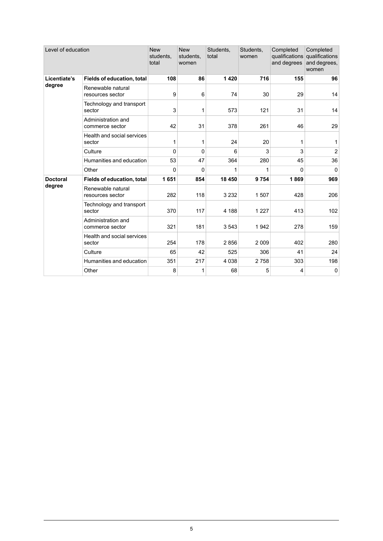| Level of education        |                                       | <b>New</b><br>students,<br>total | <b>New</b><br>students,<br>women | Students,<br>total | Students,<br>women | Completed<br>and degrees | Completed<br>qualifications qualifications<br>and degrees,<br>women |
|---------------------------|---------------------------------------|----------------------------------|----------------------------------|--------------------|--------------------|--------------------------|---------------------------------------------------------------------|
| Licentiate's<br>degree    | <b>Fields of education, total</b>     | 108                              | 86                               | 1420               | 716                | 155                      | 96                                                                  |
|                           | Renewable natural<br>resources sector | 9                                | 6                                | 74                 | 30                 | 29                       | 14                                                                  |
|                           | Technology and transport<br>sector    | 3                                | 1                                | 573                | 121                | 31                       | 14                                                                  |
|                           | Administration and<br>commerce sector | 42                               | 31                               | 378                | 261                | 46                       | 29                                                                  |
|                           | Health and social services<br>sector  | 1                                | 1                                | 24                 | 20                 | 1                        | 1                                                                   |
|                           | Culture                               | $\Omega$                         | $\mathbf{0}$                     | 6                  | 3                  | 3                        | $\overline{2}$                                                      |
|                           | Humanities and education              | 53                               | 47                               | 364                | 280                | 45                       | 36                                                                  |
|                           | Other                                 | 0                                | 0                                | 1                  | 1                  | $\Omega$                 | 0                                                                   |
| <b>Doctoral</b><br>degree | <b>Fields of education, total</b>     | 1651                             | 854                              | 18 450             | 9754               | 1869                     | 969                                                                 |
|                           | Renewable natural<br>resources sector | 282                              | 118                              | 3 2 3 2            | 1507               | 428                      | 206                                                                 |
|                           | Technology and transport<br>sector    | 370                              | 117                              | 4 188              | 1 2 2 7            | 413                      | 102                                                                 |
|                           | Administration and<br>commerce sector | 321                              | 181                              | 3543               | 1942               | 278                      | 159                                                                 |
|                           | Health and social services<br>sector  | 254                              | 178                              | 2856               | 2 0 0 9            | 402                      | 280                                                                 |
|                           | Culture                               | 65                               | 42                               | 525                | 306                | 41                       | 24                                                                  |
|                           | Humanities and education              | 351                              | 217                              | 4 0 3 8            | 2758               | 303                      | 198                                                                 |
|                           | Other                                 | 8                                | 1                                | 68                 | 5                  | $\overline{4}$           | 0                                                                   |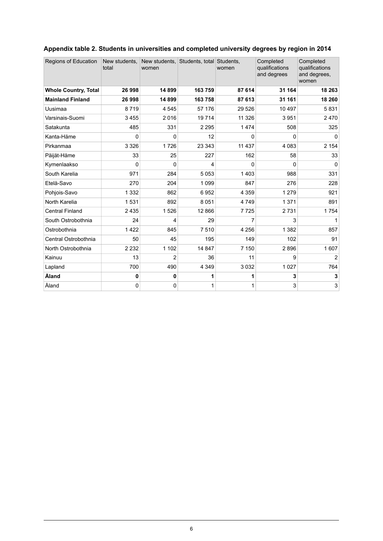| <b>Regions of Education</b> | New students,<br>total | New students, Students, total Students,<br>women |         | women    | Completed<br>qualifications<br>and degrees | Completed<br>qualifications<br>and degrees,<br>women |
|-----------------------------|------------------------|--------------------------------------------------|---------|----------|--------------------------------------------|------------------------------------------------------|
| <b>Whole Country, Total</b> | 26 998                 | 14899                                            | 163759  | 87 614   | 31 164                                     | 18 263                                               |
| <b>Mainland Finland</b>     | 26 998                 | 14899                                            | 163758  | 87 613   | 31 161                                     | 18 260                                               |
| Uusimaa                     | 8719                   | 4545                                             | 57 176  | 29 5 26  | 10 497                                     | 5831                                                 |
| Varsinais-Suomi             | 3 4 5 5                | 2016                                             | 19714   | 11 326   | 3951                                       | 2470                                                 |
| Satakunta                   | 485                    | 331                                              | 2 2 9 5 | 1474     | 508                                        | 325                                                  |
| Kanta-Häme                  | 0                      | 0                                                | 12      | 0        | 0                                          | $\mathbf{0}$                                         |
| Pirkanmaa                   | 3 3 2 6                | 1726                                             | 23 343  | 11 437   | 4 0 8 3                                    | 2 1 5 4                                              |
| Päijät-Häme                 | 33                     | 25                                               | 227     | 162      | 58                                         | 33                                                   |
| Kymenlaakso                 | 0                      | 0                                                | 4       | $\Omega$ | 0                                          | 0                                                    |
| South Karelia               | 971                    | 284                                              | 5 0 5 3 | 1403     | 988                                        | 331                                                  |
| Etelä-Savo                  | 270                    | 204                                              | 1 0 9 9 | 847      | 276                                        | 228                                                  |
| Pohjois-Savo                | 1 3 3 2                | 862                                              | 6952    | 4 3 5 9  | 1 2 7 9                                    | 921                                                  |
| North Karelia               | 1531                   | 892                                              | 8 0 5 1 | 4749     | 1 3 7 1                                    | 891                                                  |
| <b>Central Finland</b>      | 2435                   | 1526                                             | 12 866  | 7725     | 2731                                       | 1754                                                 |
| South Ostrobothnia          | 24                     | 4                                                | 29      | 7        | 3                                          | 1                                                    |
| Ostrobothnia                | 1422                   | 845                                              | 7510    | 4 2 5 6  | 1 3 8 2                                    | 857                                                  |
| Central Ostrobothnia        | 50                     | 45                                               | 195     | 149      | 102                                        | 91                                                   |
| North Ostrobothnia          | 2 2 3 2                | 1 1 0 2                                          | 14 847  | 7 1 5 0  | 2896                                       | 1607                                                 |
| Kainuu                      | 13                     | $\overline{2}$                                   | 36      | 11       | 9                                          | $\overline{2}$                                       |
| Lapland                     | 700                    | 490                                              | 4 3 4 9 | 3032     | 1 0 2 7                                    | 764                                                  |
| Åland                       | 0                      | 0                                                | 1       | 1        | 3                                          | 3                                                    |
| Åland                       | 0                      | 0                                                | 1       | 1        | 3                                          | 3                                                    |

### <span id="page-5-0"></span>**Appendix table 2. Students in universities and completed university degrees by region in 2014**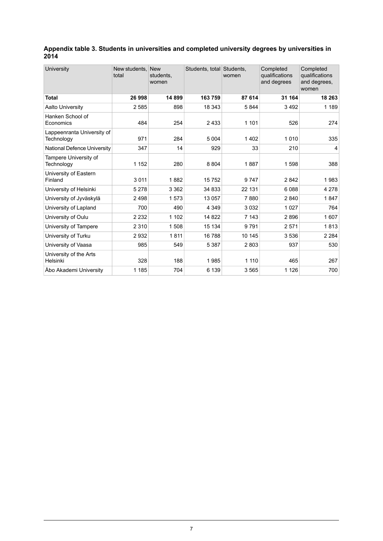#### <span id="page-6-0"></span>**Appendix table 3. Students in universities and completed university degrees by universities in 2014**

| University                               | New students.<br>total | New<br>students,<br>women | Students, total Students, | women   | Completed<br>qualifications<br>and degrees | Completed<br>qualifications<br>and degrees.<br>women |
|------------------------------------------|------------------------|---------------------------|---------------------------|---------|--------------------------------------------|------------------------------------------------------|
| Total                                    | 26 998                 | 14899                     | 163 759                   | 87 614  | 31 164                                     | 18 263                                               |
| <b>Aalto University</b>                  | 2585                   | 898                       | 18 343                    | 5844    | 3492                                       | 1 1 8 9                                              |
| Hanken School of<br>Economics            | 484                    | 254                       | 2433                      | 1 1 0 1 | 526                                        | 274                                                  |
| Lappeenranta University of<br>Technology | 971                    | 284                       | 5 0 0 4                   | 1402    | 1010                                       | 335                                                  |
| National Defence University              | 347                    | 14                        | 929                       | 33      | 210                                        | 4                                                    |
| Tampere University of<br>Technology      | 1 1 5 2                | 280                       | 8 8 0 4                   | 1887    | 1598                                       | 388                                                  |
| University of Eastern<br>Finland         | 3011                   | 1882                      | 15752                     | 9747    | 2842                                       | 1983                                                 |
| University of Helsinki                   | 5 2 7 8                | 3 3 6 2                   | 34 833                    | 22 131  | 6088                                       | 4 2 7 8                                              |
| University of Jyväskylä                  | 2498                   | 1573                      | 13 057                    | 7880    | 2840                                       | 1847                                                 |
| University of Lapland                    | 700                    | 490                       | 4 3 4 9                   | 3 0 3 2 | 1 0 2 7                                    | 764                                                  |
| University of Oulu                       | 2 2 3 2                | 1 1 0 2                   | 14 822                    | 7 1 4 3 | 2896                                       | 1607                                                 |
| University of Tampere                    | 2 3 1 0                | 1508                      | 15 134                    | 9791    | 2571                                       | 1813                                                 |
| University of Turku                      | 2932                   | 1811                      | 16788                     | 10 145  | 3536                                       | 2 2 8 4                                              |
| University of Vaasa                      | 985                    | 549                       | 5 3 8 7                   | 2803    | 937                                        | 530                                                  |
| University of the Arts<br>Helsinki       | 328                    | 188                       | 1985                      | 1 1 1 0 | 465                                        | 267                                                  |
| Åbo Akademi University                   | 1 1 8 5                | 704                       | 6 1 3 9                   | 3565    | 1 1 2 6                                    | 700                                                  |